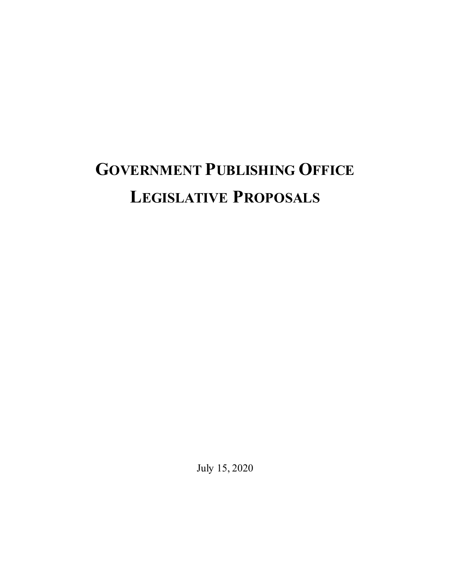# **GOVERNMENT PUBLISHING OFFICE LEGISLATIVE PROPOSALS**

July 15, 2020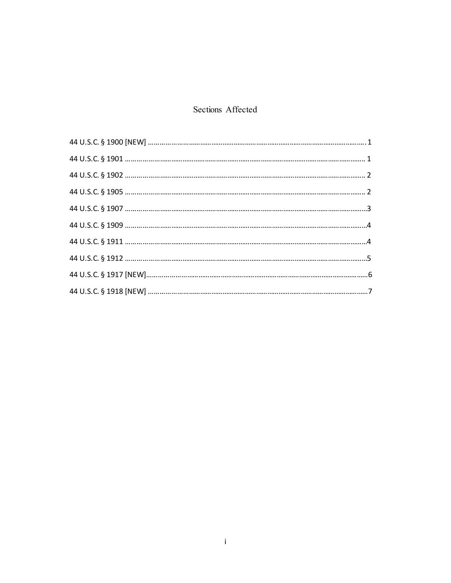# Sections Affected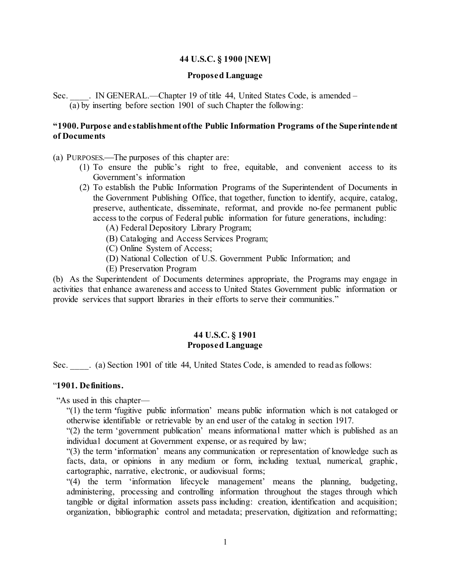#### **44 U.S.C. § 1900 [NEW]**

#### **Proposed Language**

Sec. IN GENERAL.—Chapter 19 of title 44, United States Code, is amended – (a) by inserting before section 1901 of such Chapter the following:

#### **"1900. Purpose and establishment of the Public Information Programs of the Superintendent of Documents**

(a) PURPOSES.—The purposes of this chapter are:

- (1) To ensure the public's right to free, equitable, and convenient access to its Government's information
- (2) To establish the Public Information Programs of the Superintendent of Documents in the Government Publishing Office, that together, function to identify, acquire, catalog, preserve, authenticate, disseminate, reformat, and provide no-fee permanent public access to the corpus of Federal public information for future generations, including:
	- (A) Federal Depository Library Program;
	- (B) Cataloging and Access Services Program;
	- (C) Online System of Access;
	- (D) National Collection of U.S. Government Public Information; and
	- (E) Preservation Program

(b) As the Superintendent of Documents determines appropriate, the Programs may engage in activities that enhance awareness and access to United States Government public information or provide services that support libraries in their efforts to serve their communities."

## **44 U.S.C. § 1901 Proposed Language**

Sec. (a) Section 1901 of title 44, United States Code, is amended to read as follows:

#### "**1901. Definitions.**

"As used in this chapter—

"(1) the term *'*fugitive public information' means public information which is not cataloged or otherwise identifiable or retrievable by an end user of the catalog in section 1917.

"(2) the term 'government publication' means informational matter which is published as an individual document at Government expense, or as required by law;

"(3) the term 'information' means any communication or representation of knowledge such as facts, data, or opinions in any medium or form, including textual, numerical, graphic, cartographic, narrative, electronic, or audiovisual forms;

"(4) the term 'information lifecycle management' means the planning, budgeting, administering, processing and controlling information throughout the stages through which tangible or digital information assets pass including: creation, identification and acquisition; organization, bibliographic control and metadata; preservation, digitization and reformatting;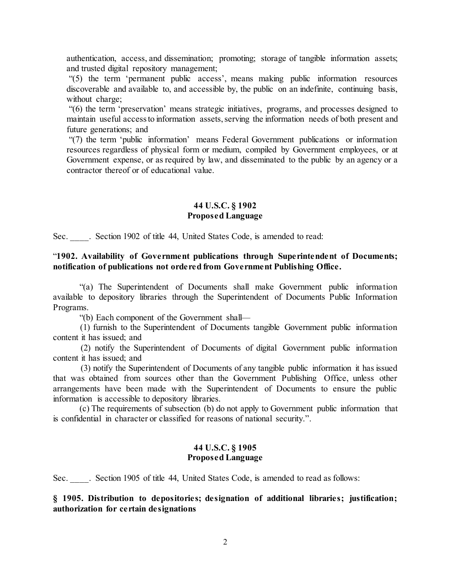authentication, access, and dissemination; promoting; storage of tangible information assets; and trusted digital repository management;

"(5) the term 'permanent public access', means making public information resources discoverable and available to, and accessible by, the public on an indefinite, continuing basis, without charge;

"(6) the term 'preservation' means strategic initiatives, programs, and processes designed to maintain useful access to information assets, serving the information needs of both present and future generations; and

"(7) the term 'public information' means Federal Government publications or information resources regardless of physical form or medium, compiled by Government employees, or at Government expense, or as required by law, and disseminated to the public by an agency or a contractor thereof or of educational value.

# **44 U.S.C. § 1902 Proposed Language**

Sec. Section 1902 of title 44, United States Code, is amended to read:

# "**1902. Availability of Government publications through Superintendent of Documents; notification of publications not ordered from Government Publishing Office.**

"(a) The Superintendent of Documents shall make Government public information available to depository libraries through the Superintendent of Documents Public Information Programs.

"(b) Each component of the Government shall—

 (1) furnish to the Superintendent of Documents tangible Government public information content it has issued; and

 (2) notify the Superintendent of Documents of digital Government public information content it has issued; and

 (3) notify the Superintendent of Documents of any tangible public information it has issued that was obtained from sources other than the Government Publishing Office, unless other arrangements have been made with the Superintendent of Documents to ensure the public information is accessible to depository libraries.

(c) The requirements of subsection (b) do not apply to Government public information that is confidential in character or classified for reasons of national security.".

#### **44 U.S.C. § 1905 Proposed Language**

Sec. Section 1905 of title 44, United States Code, is amended to read as follows:

# **§ 1905. Distribution to depositories; designation of additional libraries; justification; authorization for certain designations**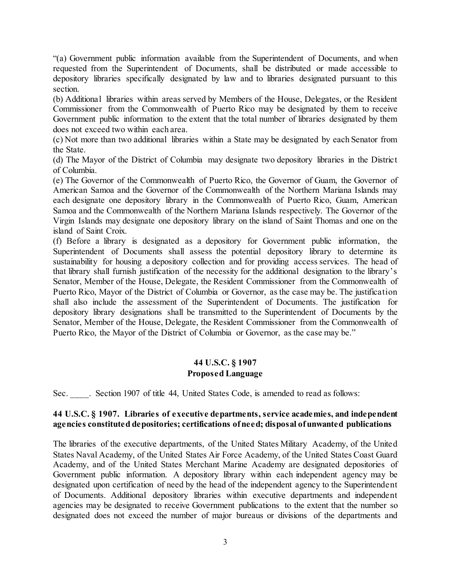"(a) Government public information available from the Superintendent of Documents, and when requested from the Superintendent of Documents, shall be distributed or made accessible to depository libraries specifically designated by law and to libraries designated pursuant to this section.

(b) Additional libraries within areas served by Members of the House, Delegates, or the Resident Commissioner from the Commonwealth of Puerto Rico may be designated by them to receive Government public information to the extent that the total number of libraries designated by them does not exceed two within each area.

(c) Not more than two additional libraries within a State may be designated by each Senator from the State.

(d) The Mayor of the District of Columbia may designate two depository libraries in the District of Columbia.

(e) The Governor of the Commonwealth of Puerto Rico, the Governor of Guam, the Governor of American Samoa and the Governor of the Commonwealth of the Northern Mariana Islands may each designate one depository library in the Commonwealth of Puerto Rico, Guam, American Samoa and the Commonwealth of the Northern Mariana Islands respectively. The Governor of the Virgin Islands may designate one depository library on the island of Saint Thomas and one on the island of Saint Croix.

(f) Before a library is designated as a depository for Government public information, the Superintendent of Documents shall assess the potential depository library to determine its sustainability for housing a depository collection and for providing access services. The head of that library shall furnish justification of the necessity for the additional designation to the library's Senator, Member of the House, Delegate, the Resident Commissioner from the Commonwealth of Puerto Rico, Mayor of the District of Columbia or Governor, as the case may be. The justification shall also include the assessment of the Superintendent of Documents. The justification for depository library designations shall be transmitted to the Superintendent of Documents by the Senator, Member of the House, Delegate, the Resident Commissioner from the Commonwealth of Puerto Rico, the Mayor of the District of Columbia or Governor, as the case may be."

# **44 U.S.C. § 1907 Proposed Language**

Sec. Section 1907 of title 44, United States Code, is amended to read as follows:

# **44 U.S.C. § 1907. Libraries of executive departments, service academies, and independent agencies constituted depositories; certifications of need; disposal of unwanted publications**

The libraries of the executive departments, of the United States Military Academy, of the United States Naval Academy, of the United States Air Force Academy, of the United States Coast Guard Academy, and of the United States Merchant Marine Academy are designated depositories of Government public information. A depository library within each independent agency may be designated upon certification of need by the head of the independent agency to the Superintendent of Documents. Additional depository libraries within executive departments and independent agencies may be designated to receive Government publications to the extent that the number so designated does not exceed the number of major bureaus or divisions of the departments and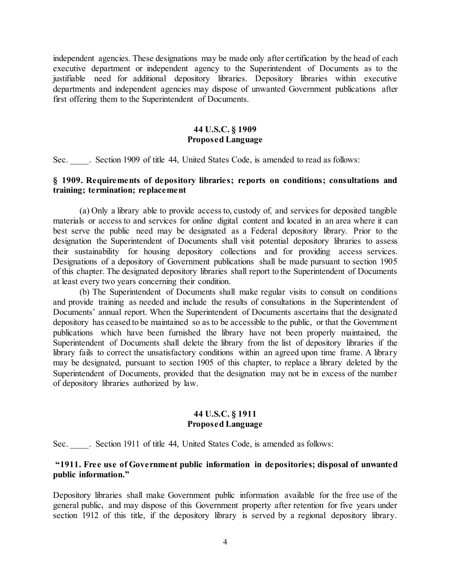independent agencies. These designations may be made only after certification by the head of each executive department or independent agency to the Superintendent of Documents as to the justifiable need for additional depository libraries. Depository libraries within executive departments and independent agencies may dispose of unwanted Government publications after first offering them to the Superintendent of Documents.

# **44 U.S.C. § 1909 Proposed Language**

Sec. Section 1909 of title 44, United States Code, is amended to read as follows:

#### **§ 1909. Requirements of depository libraries; reports on conditions; consultations and training; termination; replacement**

(a) Only a library able to provide access to, custody of*,* and services for deposited tangible materials or access to and services for online digital content and located in an area where it can best serve the public need may be designated as a Federal depository library. Prior to the designation the Superintendent of Documents shall visit potential depository libraries to assess their sustainability for housing depository collections and for providing access services. Designations of a depository of Government publications shall be made pursuant to section 1905 of this chapter. The designated depository libraries shall report to the Superintendent of Documents at least every two years concerning their condition.

(b) The Superintendent of Documents shall make regular visits to consult on conditions and provide training as needed and include the results of consultations in the Superintendent of Documents' annual report. When the Superintendent of Documents ascertains that the designated depository has ceased to be maintained so as to be accessible to the public, or that the Government publications which have been furnished the library have not been properly maintained, the Superintendent of Documents shall delete the library from the list of depository libraries if the library fails to correct the unsatisfactory conditions within an agreed upon time frame. A library may be designated, pursuant to section 1905 of this chapter, to replace a library deleted by the Superintendent of Documents, provided that the designation may not be in excess of the number of depository libraries authorized by law.

#### **44 U.S.C. § 1911 Proposed Language**

Sec. Section 1911 of title 44, United States Code, is amended as follows:

# **"1911. Free use of Government public information in depositories; disposal of unwanted public information."**

Depository libraries shall make Government public information available for the free use of the general public, and may dispose of this Government property after retention for five years under section 1912 of this title, if the depository library is served by a regional depository library.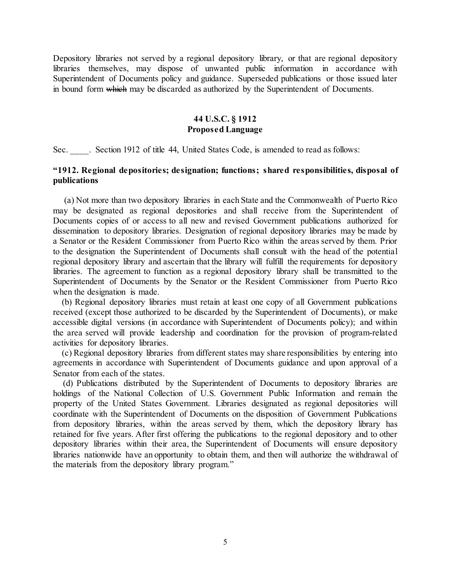Depository libraries not served by a regional depository library, or that are regional depository libraries themselves, may dispose of unwanted public information in accordance with Superintendent of Documents policy and guidance. Superseded publications or those issued later in bound form which may be discarded as authorized by the Superintendent of Documents.

# **44 U.S.C. § 1912 Proposed Language**

Sec. Section 1912 of title 44, United States Code, is amended to read as follows:

## **"1912. Regional depositories; designation; functions; shared responsibilities, disposal of publications**

(a) Not more than two depository libraries in each State and the Commonwealth of Puerto Rico may be designated as regional depositories and shall receive from the Superintendent of Documents copies of or access to all new and revised Government publications authorized for dissemination to depository libraries. Designation of regional depository libraries may be made by a Senator or the Resident Commissioner from Puerto Rico within the areas served by them. Prior to the designation the Superintendent of Documents shall consult with the head of the potential regional depository library and ascertain that the library will fulfill the requirements for depository libraries. The agreement to function as a regional depository library shall be transmitted to the Superintendent of Documents by the Senator or the Resident Commissioner from Puerto Rico when the designation is made.

(b) Regional depository libraries must retain at least one copy of all Government publications received (except those authorized to be discarded by the Superintendent of Documents), or make accessible digital versions (in accordance with Superintendent of Documents policy); and within the area served will provide leadership and coordination for the provision of program-related activities for depository libraries.

(c) Regional depository libraries from different states may share responsibilities by entering into agreements in accordance with Superintendent of Documents guidance and upon approval of a Senator from each of the states.

(d) Publications distributed by the Superintendent of Documents to depository libraries are holdings of the National Collection of U.S. Government Public Information and remain the property of the United States Government. Libraries designated as regional depositories will coordinate with the Superintendent of Documents on the disposition of Government Publications from depository libraries, within the areas served by them, which the depository library has retained for five years. After first offering the publications to the regional depository and to other depository libraries within their area, the Superintendent of Documents will ensure depository libraries nationwide have an opportunity to obtain them, and then will authorize the withdrawal of the materials from the depository library program."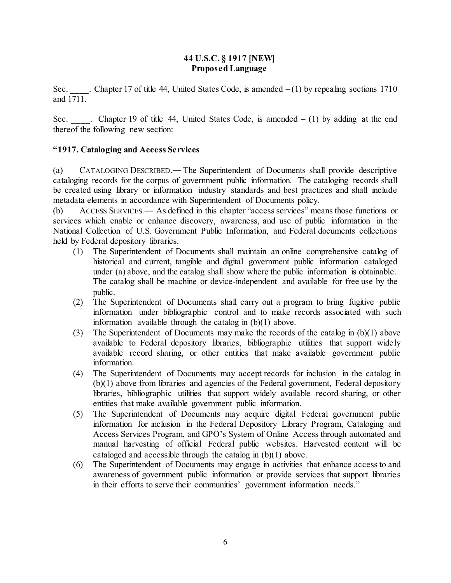# **44 U.S.C. § 1917 [NEW] Proposed Language**

Sec. Chapter 17 of title 44, United States Code, is amended  $-(1)$  by repealing sections 1710 and 1711.

Sec.  $\ldots$  Chapter 19 of title 44, United States Code, is amended – (1) by adding at the end thereof the following new section:

# **"1917. Cataloging and Access Services**

(a) CATALOGING DESCRIBED.― The Superintendent of Documents shall provide descriptive cataloging records for the corpus of government public information. The cataloging records shall be created using library or information industry standards and best practices and shall include metadata elements in accordance with Superintendent of Documents policy.

(b) ACCESS SERVICES.― As defined in this chapter "access services" means those functions or services which enable or enhance discovery, awareness, and use of public information in the National Collection of U.S. Government Public Information, and Federal documents collections held by Federal depository libraries.

- (1) The Superintendent of Documents shall maintain an online comprehensive catalog of historical and current, tangible and digital government public information cataloged under (a) above, and the catalog shall show where the public information is obtainable. The catalog shall be machine or device-independent and available for free use by the public.
- (2) The Superintendent of Documents shall carry out a program to bring fugitive public information under bibliographic control and to make records associated with such information available through the catalog in (b)(1) above.
- (3) The Superintendent of Documents may make the records of the catalog in (b)(1) above available to Federal depository libraries, bibliographic utilities that support widely available record sharing, or other entities that make available government public information.
- (4) The Superintendent of Documents may accept records for inclusion in the catalog in (b)(1) above from libraries and agencies of the Federal government, Federal depository libraries, bibliographic utilities that support widely available record sharing, or other entities that make available government public information.
- (5) The Superintendent of Documents may acquire digital Federal government public information for inclusion in the Federal Depository Library Program, Cataloging and Access Services Program, and GPO's System of Online Access through automated and manual harvesting of official Federal public websites. Harvested content will be cataloged and accessible through the catalog in (b)(1) above.
- (6) The Superintendent of Documents may engage in activities that enhance access to and awareness of government public information or provide services that support libraries in their efforts to serve their communities' government information needs."